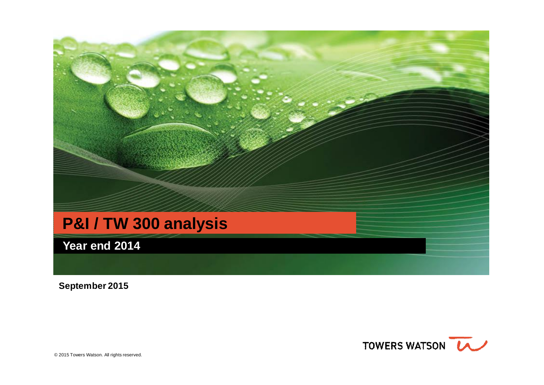

**September 2015**

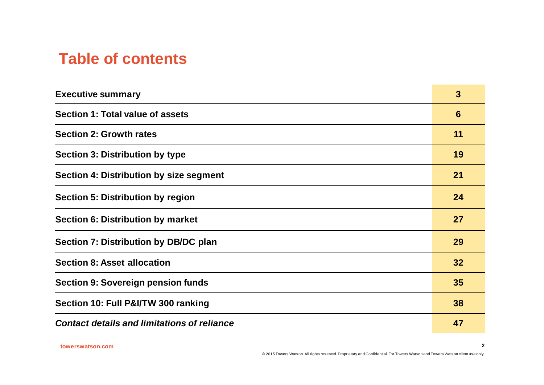# **Table of contents**

| <b>Executive summary</b>                           | $\mathbf{3}$ |
|----------------------------------------------------|--------------|
| Section 1: Total value of assets                   | 6            |
| <b>Section 2: Growth rates</b>                     | 11           |
| <b>Section 3: Distribution by type</b>             | 19           |
| Section 4: Distribution by size segment            | 21           |
| <b>Section 5: Distribution by region</b>           | 24           |
| <b>Section 6: Distribution by market</b>           | 27           |
| Section 7: Distribution by DB/DC plan              | 29           |
| <b>Section 8: Asset allocation</b>                 | 32           |
| <b>Section 9: Sovereign pension funds</b>          | 35           |
| Section 10: Full P&I/TW 300 ranking                | 38           |
| <b>Contact details and limitations of reliance</b> | 47           |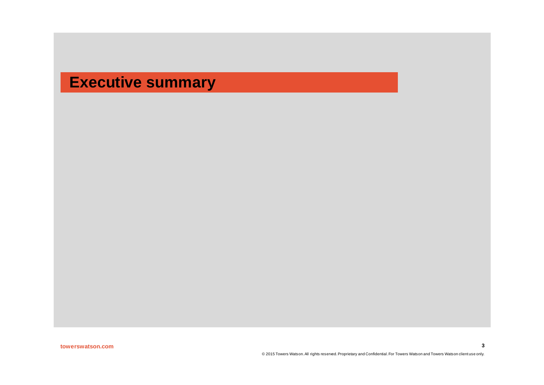# **Executive summary**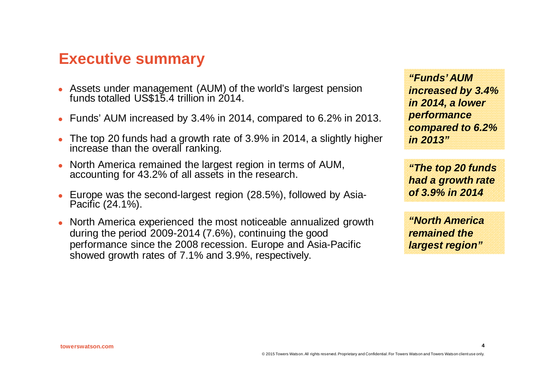### **Executive summary**

- Assets under management (AUM) of the world's largest pension funds totalled US\$15.4 trillion in 2014.
- Funds' AUM increased by 3.4% in 2014, compared to 6.2% in 2013.
- <sup>l</sup> The top 20 funds had a growth rate of 3.9% in 2014, a slightly higher increase than the overall ranking.
- North America remained the largest region in terms of AUM, accounting for 43.2% of all assets in the research.
- Europe was the second-largest region (28.5%), followed by Asia-Pacific (24.1%).
- North America experienced the most noticeable annualized growth during the period 2009-2014 (7.6%), continuing the good performance since the 2008 recession. Europe and Asia-Pacific showed growth rates of 7.1% and 3.9%, respectively.

*"Funds' AUM increased by 3.4% in 2014, a lower performance compared to 6.2% in 2013"*

*"The top 20 funds had a growth rate of 3.9% in 2014*

*"North America remained the largest region"*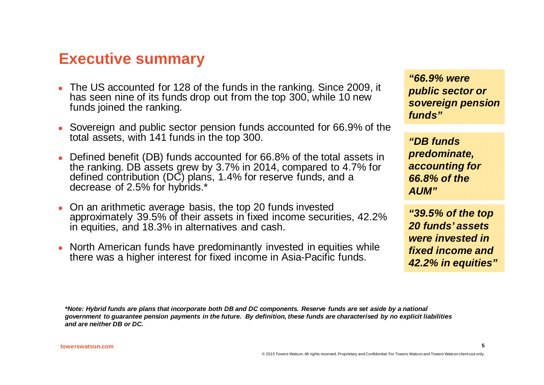# **Executive summary**

- The US accounted for 128 of the funds in the ranking. Since 2009, it has seen nine of its funds drop out from the top 300, while 10 new funds joined the ranking.
- Sovereign and public sector pension funds accounted for 66.9% of the total assets, with 141 funds in the top 300.
- Defined benefit (DB) funds accounted for 66.8% of the total assets in the ranking. DB assets grew by 3.7% in 2014, compared to 4.7% for defined contribution (DC) plans, 1.4% for reserve funds, and a decrease of 2.5% for hybrids.<sup>\*</sup>
- <sup>l</sup> On an arithmetic average basis, the top 20 funds invested approximately 39.5% of their assets in fixed income securities, 42.2% in equities, and 18.3% in alternatives and cash.
- <sup>l</sup> North American funds have predominantly invested in equities while there was a higher interest for fixed income in Asia-Pacific funds.

*"66.9% were public sector or sovereign pension funds"*

*"DB funds predominate, accounting for 66.8% of the AUM"*

*"39.5% of the top 20 funds' assets were invested in fixed income and 42.2% in equities"*

**5**

*\*Note: Hybrid funds are plans that incorporate both DB and DC components. Reserve funds are set aside by a national government to guarantee pension payments in the future. By definition, these funds are characterised by no explicit liabilities and are neither DB or DC.*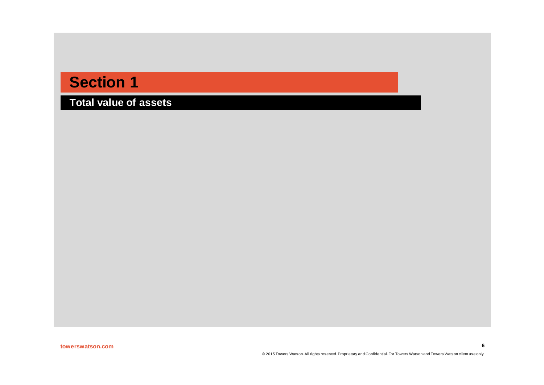**Total value of assets**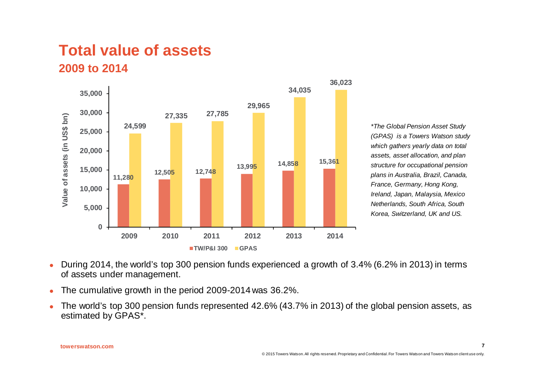### **Total value of assets 2009 to 2014**



*\*The Global Pension Asset Study (GPAS) is a Towers Watson study which gathers yearly data on total assets, asset allocation, and plan structure for occupational pension plans in Australia, Brazil, Canada, France, Germany, Hong Kong, Ireland, Japan, Malaysia, Mexico Netherlands, South Africa, South Korea, Switzerland, UK and US.*

- During 2014, the world's top 300 pension funds experienced a growth of 3.4% (6.2% in 2013) in terms of assets under management.
- The cumulative growth in the period 2009-2014 was 36.2%.
- The world's top 300 pension funds represented 42.6% (43.7% in 2013) of the global pension assets, as estimated by GPAS\*.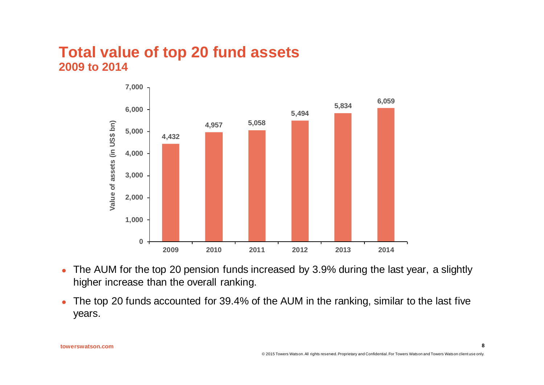#### **Total value of top 20 fund assets 2009 to 2014**



- The AUM for the top 20 pension funds increased by 3.9% during the last year, a slightly higher increase than the overall ranking.
- The top 20 funds accounted for 39.4% of the AUM in the ranking, similar to the last five years.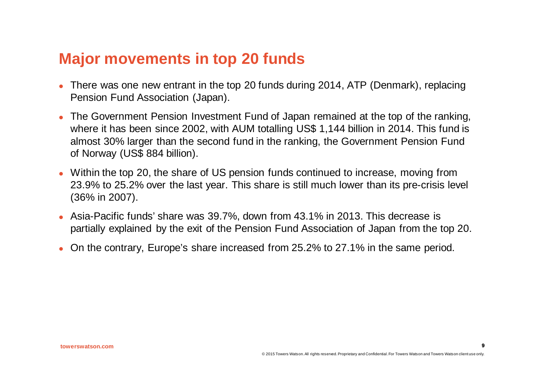# **Major movements in top 20 funds**

- There was one new entrant in the top 20 funds during 2014, ATP (Denmark), replacing Pension Fund Association (Japan).
- The Government Pension Investment Fund of Japan remained at the top of the ranking. where it has been since 2002, with AUM totalling US\$ 1,144 billion in 2014. This fund is almost 30% larger than the second fund in the ranking, the Government Pension Fund of Norway (US\$ 884 billion).
- <sup>l</sup> Within the top 20, the share of US pension funds continued to increase, moving from 23.9% to 25.2% over the last year. This share is still much lower than its pre-crisis level (36% in 2007).
- Asia-Pacific funds' share was 39.7%, down from 43.1% in 2013. This decrease is partially explained by the exit of the Pension Fund Association of Japan from the top 20.
- On the contrary, Europe's share increased from 25.2% to 27.1% in the same period.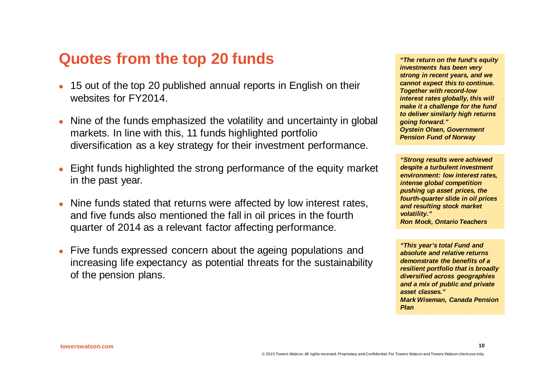# **Quotes from the top 20 funds**

- 15 out of the top 20 published annual reports in English on their websites for FY2014.
- Nine of the funds emphasized the volatility and uncertainty in global markets. In line with this, 11 funds highlighted portfolio diversification as a key strategy for their investment performance.
- <sup>l</sup> Eight funds highlighted the strong performance of the equity market in the past year.
- Nine funds stated that returns were affected by low interest rates, and five funds also mentioned the fall in oil prices in the fourth quarter of 2014 as a relevant factor affecting performance.
- Five funds expressed concern about the ageing populations and increasing life expectancy as potential threats for the sustainability of the pension plans.

*"The return on the fund's equity investments has been very strong in recent years, and we cannot expect this to continue. Together with record-low interest rates globally, this will make it a challenge for the fund to deliver similarly high returns going forward." Oystein Olsen, Government Pension Fund of Norway*

*"Strong results were achieved despite a turbulent investment environment: low interest rates, intense global competition pushing up asset prices, the fourth-quarter slide in oil prices and resulting stock market volatility." Ron Mock, Ontario Teachers*

*"This year's total Fund and absolute and relative returns demonstrate the benefits of a resilient portfolio that is broadly diversified across geographies and a mix of public and private asset classes." Mark Wiseman, Canada Pension Plan*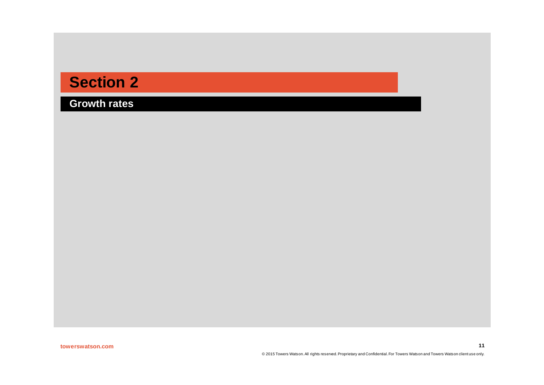**Growth rates**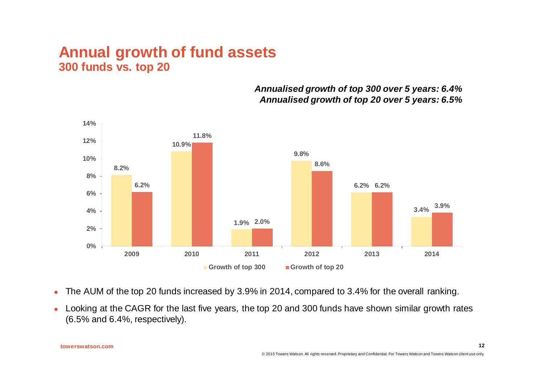#### **Annual growth of fund assets 300 funds vs. top 20**

*Annualised growth of top 300 over 5 years: 6.4% Annualised growth of top 20 over 5 years: 6.5%*



- The AUM of the top 20 funds increased by 3.9% in 2014, compared to 3.4% for the overall ranking.
- Looking at the CAGR for the last five years, the top 20 and 300 funds have shown similar growth rates (6.5% and 6.4%, respectively).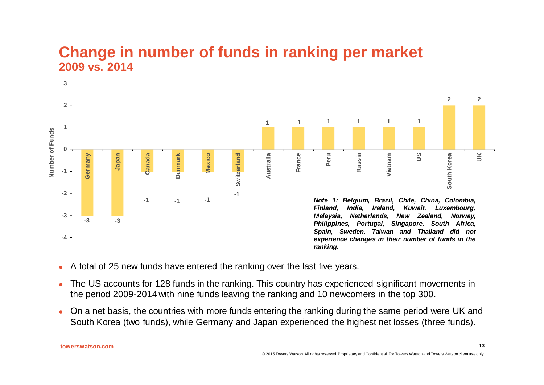### **Change in number of funds in ranking per market 2009 vs. 2014**



- A total of 25 new funds have entered the ranking over the last five years.
- The US accounts for 128 funds in the ranking. This country has experienced significant movements in the period 2009-2014 with nine funds leaving the ranking and 10 newcomers in the top 300.
- On a net basis, the countries with more funds entering the ranking during the same period were UK and South Korea (two funds), while Germany and Japan experienced the highest net losses (three funds).

**towerswatson.com**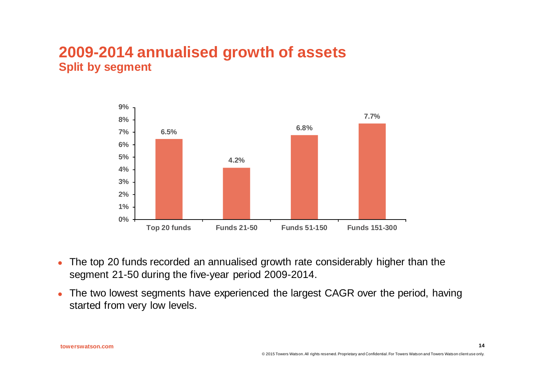### **2009-2014 annualised growth of assets Split by segment**



- The top 20 funds recorded an annualised growth rate considerably higher than the segment 21-50 during the five-year period 2009-2014.
- The two lowest segments have experienced the largest CAGR over the period, having started from very low levels.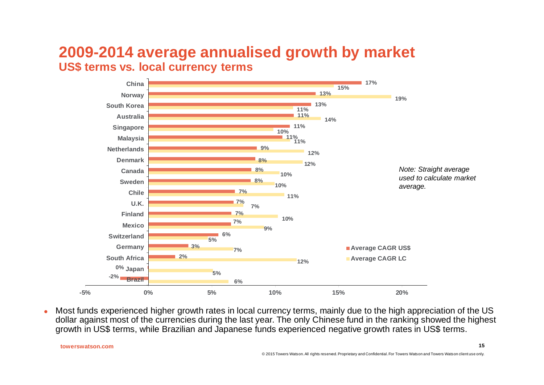### **2009-2014 average annualised growth by market US\$ terms vs. local currency terms**



<sup>l</sup> Most funds experienced higher growth rates in local currency terms, mainly due to the high appreciation of the US dollar against most of the currencies during the last year. The only Chinese fund in the ranking showed the highest growth in US\$ terms, while Brazilian and Japanese funds experienced negative growth rates in US\$ terms.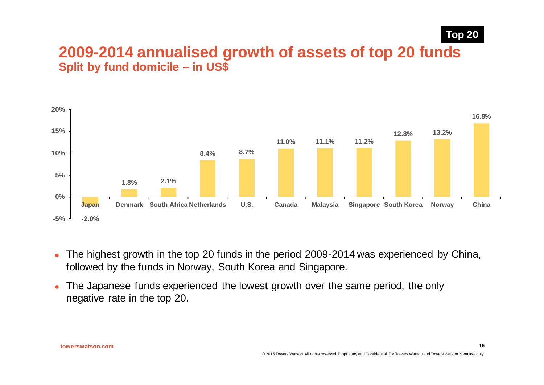#### **2009-2014 annualised growth of assets of top 20 funds Split by fund domicile – in US\$**



- The highest growth in the top 20 funds in the period 2009-2014 was experienced by China, followed by the funds in Norway, South Korea and Singapore.
- The Japanese funds experienced the lowest growth over the same period, the only negative rate in the top 20.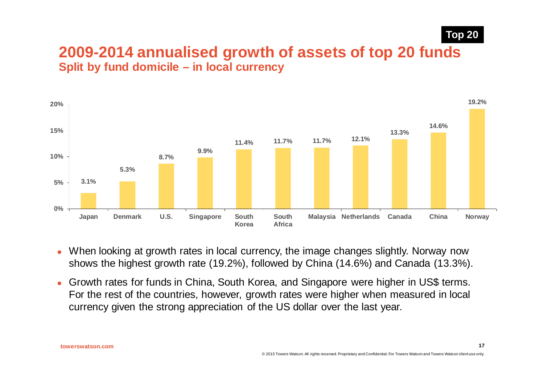**17**

#### **2009-2014 annualised growth of assets of top 20 funds Split by fund domicile – in local currency**



- When looking at growth rates in local currency, the image changes slightly. Norway now shows the highest growth rate (19.2%), followed by China (14.6%) and Canada (13.3%).
- <sup>l</sup> Growth rates for funds in China, South Korea, and Singapore were higher in US\$ terms. For the rest of the countries, however, growth rates were higher when measured in local currency given the strong appreciation of the US dollar over the last year.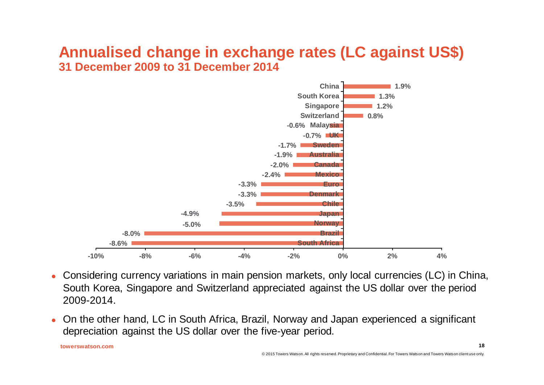### **Annualised change in exchange rates (LC against US\$) 31 December 2009 to 31 December 2014**



- Considering currency variations in main pension markets, only local currencies (LC) in China, South Korea, Singapore and Switzerland appreciated against the US dollar over the period 2009-2014.
- On the other hand, LC in South Africa, Brazil, Norway and Japan experienced a significant depreciation against the US dollar over the five-year period.

**towerswatson.com**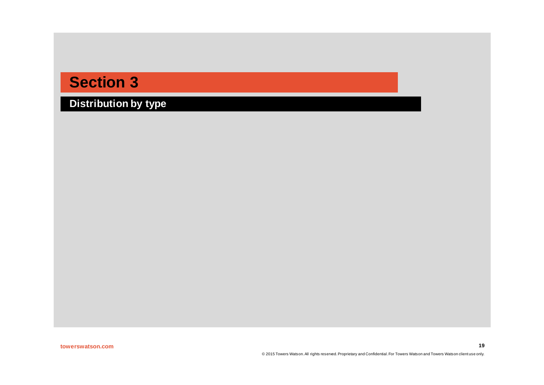**Distribution by type**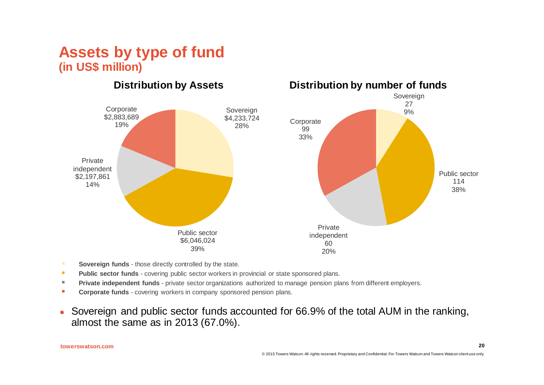### **Assets by type of fund (in US\$ million)**



- **Sovereign funds** those directly controlled by the state.
- **Public sector funds** covering public sector workers in provincial or state sponsored plans.
- **Private independent funds** private sector organizations authorized to manage pension plans from different employers.
- **Corporate funds** covering workers in company sponsored pension plans.
- Sovereign and public sector funds accounted for 66.9% of the total AUM in the ranking, almost the same as in 2013 (67.0%).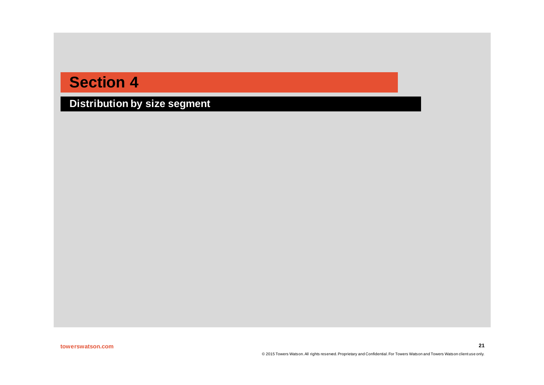**Distribution by size segment**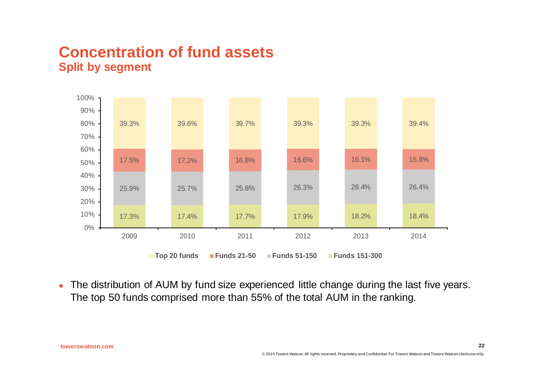### **Concentration of fund assets Split by segment**



• The distribution of AUM by fund size experienced little change during the last five years. The top 50 funds comprised more than 55% of the total AUM in the ranking.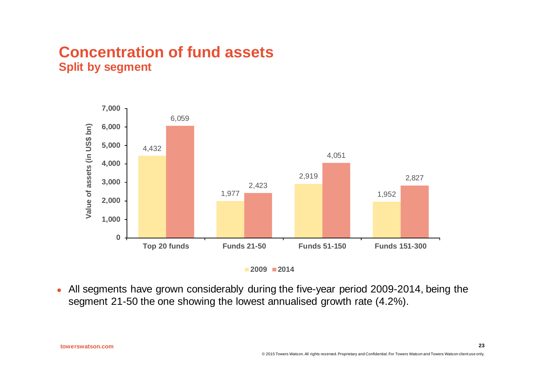### **Concentration of fund assets Split by segment**



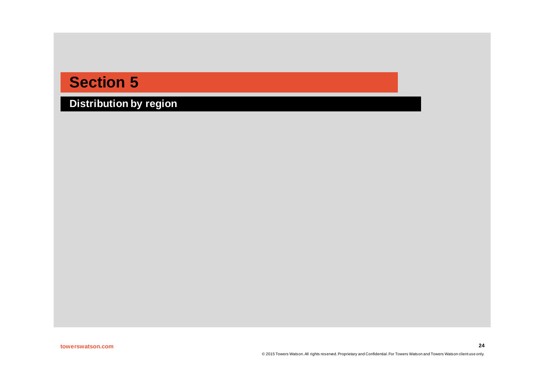**Distribution by region**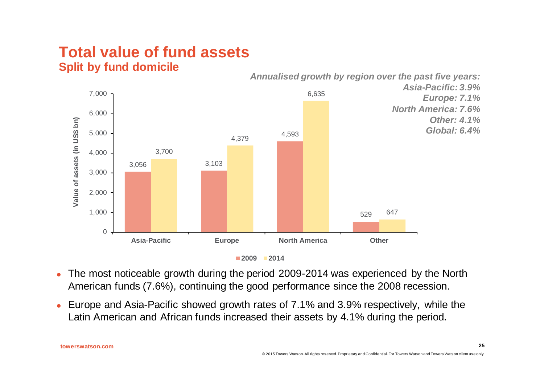### **Total value of fund assets Split by fund domicile**



**<sup>2009</sup> 2014**

- The most noticeable growth during the period 2009-2014 was experienced by the North American funds (7.6%), continuing the good performance since the 2008 recession.
- Europe and Asia-Pacific showed growth rates of 7.1% and 3.9% respectively, while the Latin American and African funds increased their assets by 4.1% during the period.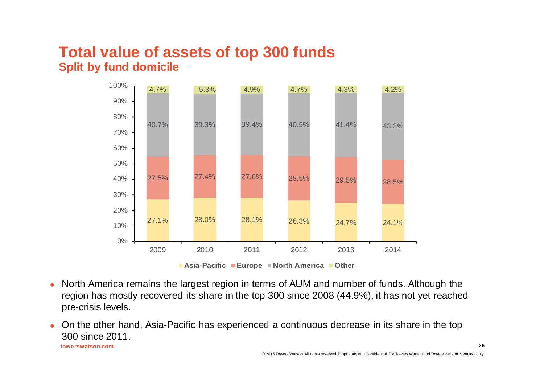### **Total value of assets of top 300 funds Split by fund domicile**



- <sup>l</sup> North America remains the largest region in terms of AUM and number of funds. Although the region has mostly recovered its share in the top 300 since 2008 (44.9%), it has not yet reached pre-crisis levels.
- <sup>l</sup> On the other hand, Asia-Pacific has experienced a continuous decrease in its share in the top 300 since 2011.

**towerswatson.com**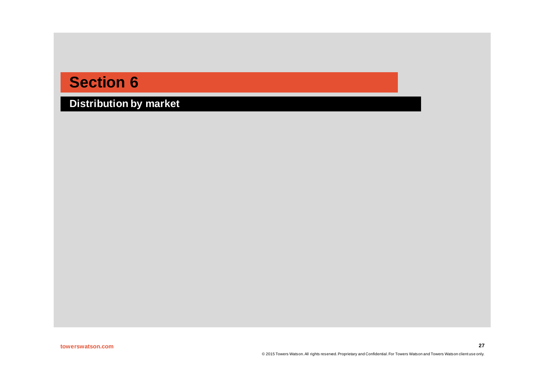**Distribution by market**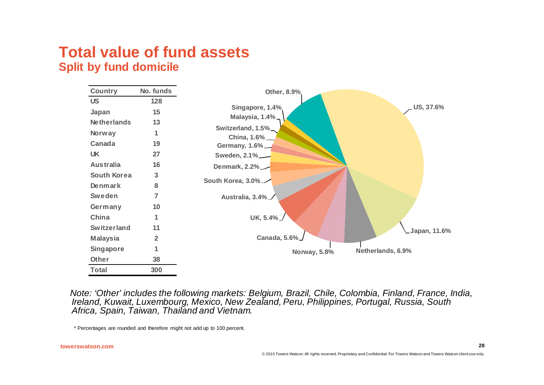### **Total value of fund assets Split by fund domicile**

| Country            | No. funds      | Other, 8.9%                       |
|--------------------|----------------|-----------------------------------|
| <b>US</b>          | 128            |                                   |
| Japan              | 15             | US, 37.6%<br>Singapore, 1.4%      |
| <b>Netherlands</b> | 13             | Malaysia, 1.4%_                   |
| Norway             | 1              | Switzerland, 1.5%<br>China, 1.6%  |
| Canada             | 19             | Germany, 1.6%_                    |
| <b>UK</b>          | 27             | Sweden, 2.1%                      |
| <b>Australia</b>   | 16             | Denmark, 2.2%                     |
| <b>South Korea</b> | 3              |                                   |
| Denmark            | 8              | South Korea, 3.0%                 |
| Sweden             | 7              | Australia, 3.4%                   |
| Germany            | 10             |                                   |
| China              |                | UK, 5.4%                          |
| <b>Switzerland</b> | 11             | Japan, 11.6%                      |
| <b>Malaysia</b>    | $\overline{2}$ | Canada, 5.6%                      |
| <b>Singapore</b>   | 1              | Netherlands, 6.9%<br>Norway, 5.8% |
| Other              | 38             |                                   |
| <b>Total</b>       | 300            |                                   |

*Note: 'Other' includes the following markets: Belgium, Brazil, Chile, Colombia, Finland, France, India, Ireland, Kuwait, Luxembourg, Mexico, New Zealand, Peru, Philippines, Portugal, Russia, South Africa, Spain, Taiwan, Thailand and Vietnam.* 

\* Percentages are rounded and therefore might not add up to 100 percent.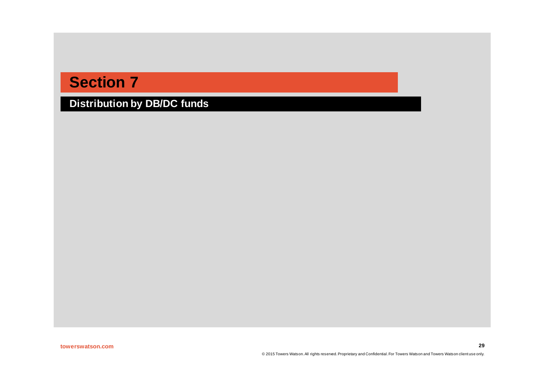**Distribution by DB/DC funds**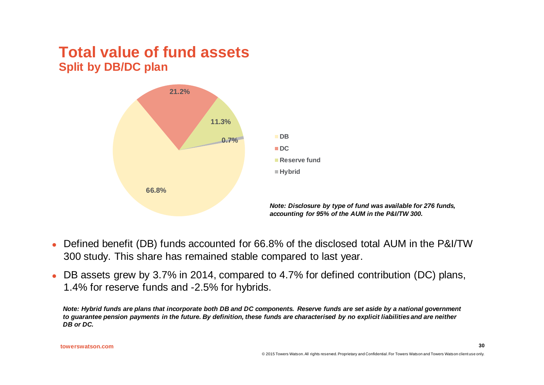### **Total value of fund assets Split by DB/DC plan**



- Defined benefit (DB) funds accounted for 66.8% of the disclosed total AUM in the P&I/TW 300 study. This share has remained stable compared to last year.
- DB assets grew by 3.7% in 2014, compared to 4.7% for defined contribution (DC) plans, 1.4% for reserve funds and -2.5% for hybrids.

*Note: Hybrid funds are plans that incorporate both DB and DC components. Reserve funds are set aside by a national government to guarantee pension payments in the future. By definition, these funds are characterised by no explicit liabilities and are neither DB or DC.*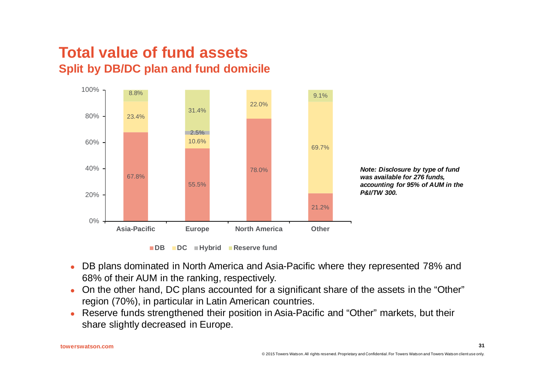### **Total value of fund assets Split by DB/DC plan and fund domicile**



**DB DC Hybrid Reserve fund**

- DB plans dominated in North America and Asia-Pacific where they represented 78% and 68% of their AUM in the ranking, respectively.
- On the other hand, DC plans accounted for a significant share of the assets in the "Other" region (70%), in particular in Latin American countries.
- Reserve funds strengthened their position in Asia-Pacific and "Other" markets, but their share slightly decreased in Europe.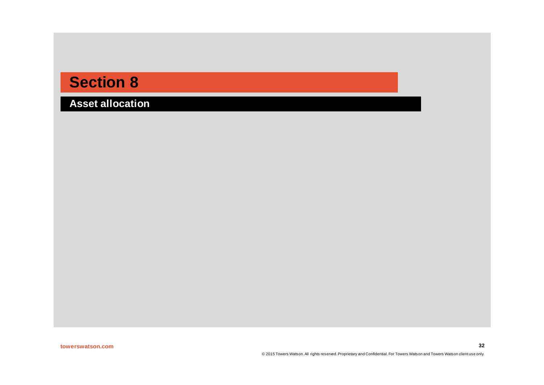**Asset allocation**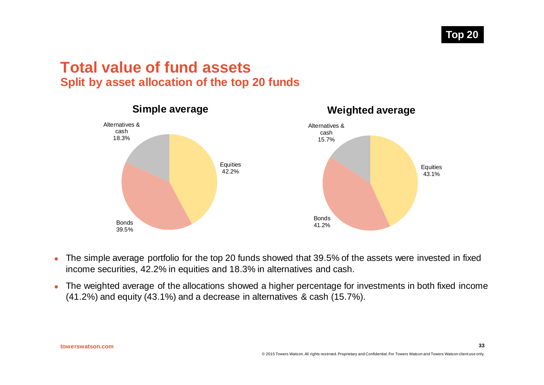**33**

#### **Total value of fund assets Split by asset allocation of the top 20 funds**



- The simple average portfolio for the top 20 funds showed that 39.5% of the assets were invested in fixed income securities, 42.2% in equities and 18.3% in alternatives and cash.
- The weighted average of the allocations showed a higher percentage for investments in both fixed income (41.2%) and equity (43.1%) and a decrease in alternatives & cash (15.7%).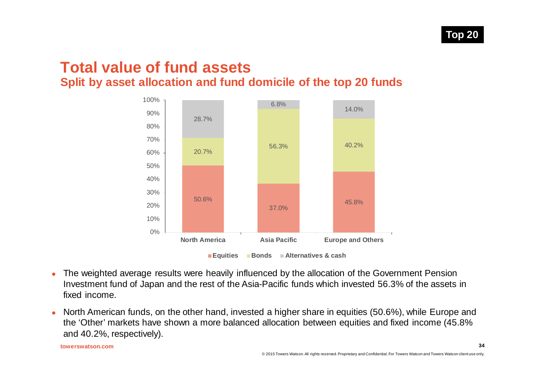### **Total value of fund assets Split by asset allocation and fund domicile of the top 20 funds**



**Equities Bonds Alternatives & cash**

- The weighted average results were heavily influenced by the allocation of the Government Pension Investment fund of Japan and the rest of the Asia-Pacific funds which invested 56.3% of the assets in fixed income.
- North American funds, on the other hand, invested a higher share in equities (50.6%), while Europe and the 'Other' markets have shown a more balanced allocation between equities and fixed income (45.8% and 40.2%, respectively).

**towerswatson.com**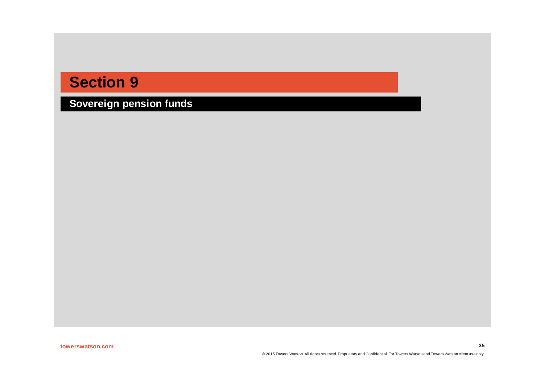**Sovereign pension funds**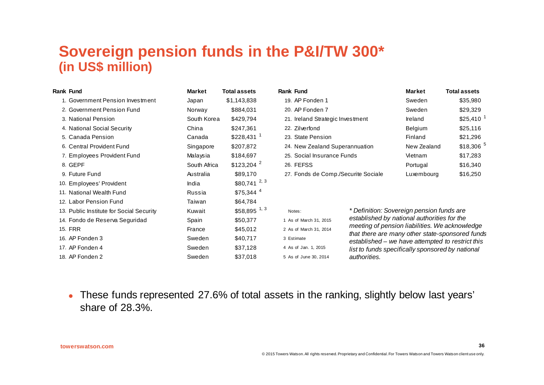### **Sovereign pension funds in the P&I/TW 300\* (in US\$ million)**

| <b>Rank Fund</b>                         | Market       | <b>Total assets</b>     | <b>Rank Fund</b>                    |                                                                                                     | Market                                           | <b>Total assets</b>    |
|------------------------------------------|--------------|-------------------------|-------------------------------------|-----------------------------------------------------------------------------------------------------|--------------------------------------------------|------------------------|
| 1. Government Pension Investment         | Japan        | \$1,143,838             | 19. AP Fonden 1                     |                                                                                                     | Sweden                                           | \$35,980               |
| 2. Government Pension Fund               | Norway       | \$884,031               | 20. AP Fonden 7                     |                                                                                                     | Sweden                                           | \$29,329               |
| 3. National Pension                      | South Korea  | \$429,794               | 21. Ireland Strategic Investment    |                                                                                                     | Ireland                                          | $$25,410^{-1}$         |
| 4. National Social Security              | China        | \$247,361               | 22. Zilverfond                      |                                                                                                     | Belgium                                          | \$25,116               |
| 5. Canada Pension                        | Canada       | $$228,431$ <sup>1</sup> | 23. State Pension                   |                                                                                                     | Finland                                          | \$21,296               |
| 6. Central Provident Fund                | Singapore    | \$207,872               | 24. New Zealand Superannuation      |                                                                                                     | New Zealand                                      | $$18,306$ <sup>5</sup> |
| 7. Employees Provident Fund              | Malaysia     | \$184,697               | 25. Social Insurance Funds          |                                                                                                     | Vietnam                                          | \$17,283               |
| 8. GEPF                                  | South Africa | $$123,204$ <sup>2</sup> | 26. FEFSS                           |                                                                                                     | Portugal                                         | \$16,340               |
| 9. Future Fund                           | Australia    | \$89,170                | 27. Fonds de Comp./Securite Sociale |                                                                                                     | Luxembourg                                       | \$16,250               |
| 10. Employees' Provident                 | India        | $$80,741$ $^{2,3}$      |                                     |                                                                                                     |                                                  |                        |
| 11. National Wealth Fund                 | Russia       | $$75,344$ <sup>4</sup>  |                                     |                                                                                                     |                                                  |                        |
| 12. Labor Pension Fund                   | Taiwan       | \$64,784                |                                     |                                                                                                     |                                                  |                        |
| 13. Public Institute for Social Security | Kuwait       | \$58,895 $^{1,3}$       | Notes:                              | * Definition: Sovereign pension funds are                                                           |                                                  |                        |
| 14. Fondo de Reserva Seguridad           | Spain        | \$50,377                | 1 As of March 31, 2015              | established by national authorities for the<br>meeting of pension liabilities. We acknowledge       |                                                  |                        |
| <b>15. FRR</b>                           | France       | \$45,012                | 2 As of March 31, 2014              |                                                                                                     |                                                  |                        |
| 16. AP Fonden 3                          | Sweden       | \$40,717                | 3 Estimate                          | that there are many other state-sponsored funds<br>established – we have attempted to restrict this |                                                  |                        |
| 17. AP Fonden 4                          | Sweden       | \$37,128                | 4 As of Jan. 1, 2015                |                                                                                                     | list to funds specifically sponsored by national |                        |
| 18. AP Fonden 2                          | Sweden       | \$37,018                | 5 As of June 30, 2014               | authorities.                                                                                        |                                                  |                        |

• These funds represented 27.6% of total assets in the ranking, slightly below last years' share of 28.3%.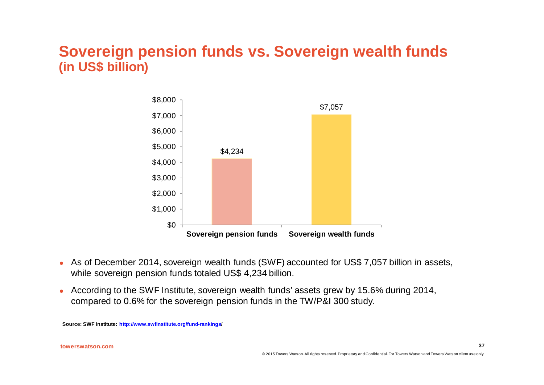### **Sovereign pension funds vs. Sovereign wealth funds (in US\$ billion)**



- As of December 2014, sovereign wealth funds (SWF) accounted for US\$ 7,057 billion in assets, while sovereign pension funds totaled US\$ 4,234 billion.
- According to the SWF Institute, sovereign wealth funds' assets grew by 15.6% during 2014, compared to 0.6% for the sovereign pension funds in the TW/P&I 300 study.

**Source: SWF Institute:<http://www.swfinstitute.org/fund-rankings>/**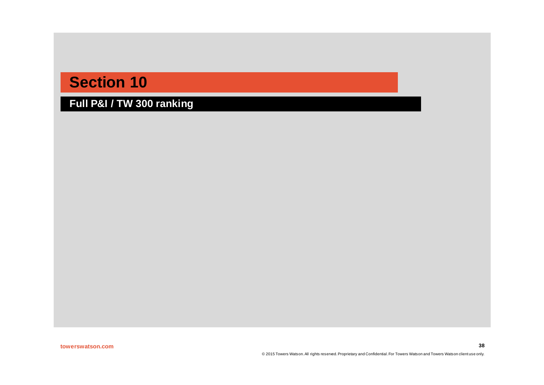**Full P&I / TW 300 ranking**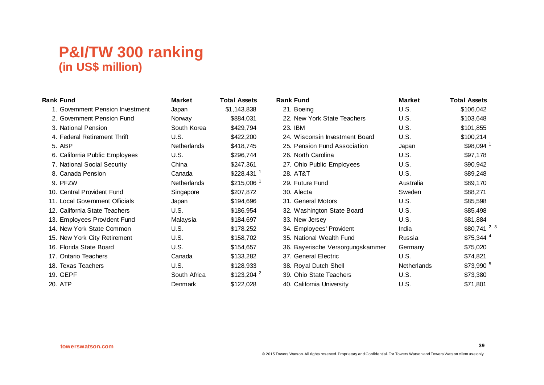| <b>Rank Fund</b>                 | <b>Market</b>      | <b>Total Assets</b>     | <b>Rank Fund</b>                 | <b>Market</b>      | <b>Total Assets</b>    |
|----------------------------------|--------------------|-------------------------|----------------------------------|--------------------|------------------------|
| 1. Government Pension Investment | Japan              | \$1,143,838             | 21. Boeing                       | U.S.               | \$106,042              |
| 2. Government Pension Fund       | Norway             | \$884,031               | 22. New York State Teachers      | U.S.               | \$103,648              |
| 3. National Pension              | South Korea        | \$429,794               | 23. IBM                          | U.S.               | \$101,855              |
| 4. Federal Retirement Thrift     | U.S.               | \$422,200               | 24. Wisconsin Investment Board   | U.S.               | \$100,214              |
| 5. ABP                           | <b>Netherlands</b> | \$418,745               | 25. Pension Fund Association     | Japan              | \$98,094               |
| 6. California Public Employees   | U.S.               | \$296,744               | 26. North Carolina               | U.S.               | \$97,178               |
| 7. National Social Security      | China              | \$247,361               | 27. Ohio Public Employees        | U.S.               | \$90,942               |
| 8. Canada Pension                | Canada             | $$228,431$ <sup>1</sup> | 28. AT&T                         | U.S.               | \$89,248               |
| 9. PFZW                          | Netherlands        | $$215,006$ <sup>1</sup> | 29. Future Fund                  | Australia          | \$89,170               |
| 10. Central Provident Fund       | Singapore          | \$207,872               | 30. Alecta                       | Sweden             | \$88,271               |
| 11. Local Government Officials   | Japan              | \$194,696               | 31. General Motors               | U.S.               | \$85,598               |
| 12. California State Teachers    | U.S.               | \$186,954               | 32. Washington State Board       | U.S.               | \$85,498               |
| 13. Employees Provident Fund     | Malaysia           | \$184,697               | 33. New Jersey                   | U.S.               | \$81,884               |
| 14. New York State Common        | U.S.               | \$178,252               | 34. Employees' Provident         | India              | $$80,741$ $^{2,3}$     |
| 15. New York City Retirement     | U.S.               | \$158,702               | 35. National Wealth Fund         | Russia             | $$75,344$ <sup>4</sup> |
| 16. Florida State Board          | U.S.               | \$154,657               | 36. Bayerische Versorgungskammer | Germany            | \$75,020               |
| 17. Ontario Teachers             | Canada             | \$133,282               | 37. General Electric             | U.S.               | \$74,821               |
| 18. Texas Teachers               | U.S.               | \$128,933               | 38. Royal Dutch Shell            | <b>Netherlands</b> | $$73,990$ <sup>5</sup> |
| 19. GEPF                         | South Africa       | $$123,204$ <sup>2</sup> | 39. Ohio State Teachers          | U.S.               | \$73,380               |
| 20. ATP                          | Denmark            | \$122,028               | 40. California University        | U.S.               | \$71,801               |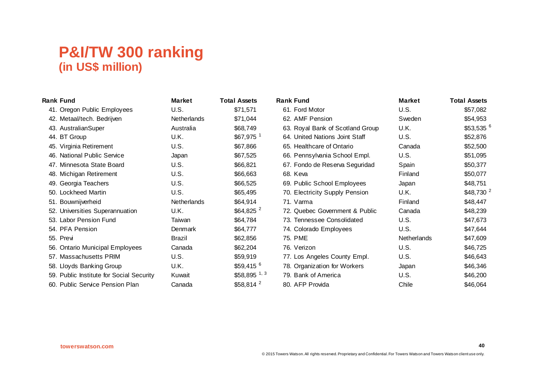| <b>Rank Fund</b>                         | <b>Market</b>      | <b>Total Assets</b>    | <b>Rank Fund</b>                 | <b>Market</b> | <b>Total Assets</b>    |
|------------------------------------------|--------------------|------------------------|----------------------------------|---------------|------------------------|
| 41. Oregon Public Employees              | U.S.               | \$71,571               | 61. Ford Motor                   | U.S.          | \$57,082               |
| 42. Metaal/tech. Bedrijven               | <b>Netherlands</b> | \$71,044               | 62. AMF Pension                  | Sweden        | \$54,953               |
| 43. AustralianSuper                      | Australia          | \$68,749               | 63. Royal Bank of Scotland Group | U.K.          | $$53,535$ <sup>6</sup> |
| 44. BT Group                             | U.K.               | $$67,975$ <sup>1</sup> | 64. United Nations Joint Staff   | U.S.          | \$52,876               |
| 45. Virginia Retirement                  | U.S.               | \$67,866               | 65. Healthcare of Ontario        | Canada        | \$52,500               |
| 46. National Public Service              | Japan              | \$67,525               | 66. Pennsylvania School Empl.    | U.S.          | \$51,095               |
| 47. Minnesota State Board                | U.S.               | \$66,821               | 67. Fondo de Reserva Seguridad   | Spain         | \$50,377               |
| 48. Michigan Retirement                  | U.S.               | \$66,663               | 68. Keva                         | Finland       | \$50,077               |
| 49. Georgia Teachers                     | U.S.               | \$66,525               | 69. Public School Employees      | Japan         | \$48,751               |
| 50. Lockheed Martin                      | U.S.               | \$65,495               | 70. Electricity Supply Pension   | U.K.          | \$48,730 <sup>2</sup>  |
| 51. Bouwnijverheid                       | <b>Netherlands</b> | \$64,914               | 71. Varma                        | Finland       | \$48,447               |
| 52. Universities Superannuation          | U.K.               | $$64,825$ <sup>2</sup> | 72. Quebec Government & Public   | Canada        | \$48,239               |
| 53. Labor Pension Fund                   | Taiwan             | \$64,784               | 73. Tennessee Consolidated       | U.S.          | \$47,673               |
| 54. PFA Pension                          | Denmark            | \$64,777               | 74. Colorado Employees           | U.S.          | \$47,644               |
| 55. Previ                                | Brazil             | \$62,856               | 75. PME                          | Netherlands   | \$47,609               |
| 56. Ontario Municipal Employees          | Canada             | \$62,204               | 76. Verizon                      | U.S.          | \$46,725               |
| 57. Massachusetts PRIM                   | U.S.               | \$59,919               | 77. Los Angeles County Empl.     | U.S.          | \$46,643               |
| 58. Lloyds Banking Group                 | U.K.               | $$59,415$ <sup>6</sup> | 78. Organization for Workers     | Japan         | \$46,346               |
| 59. Public Institute for Social Security | Kuwait             | \$58,895 $1, 3$        | 79. Bank of America              | U.S.          | \$46,200               |
| 60. Public Service Pension Plan          | Canada             | $$58,814$ <sup>2</sup> | 80. AFP Provida                  | Chile         | \$46,064               |
|                                          |                    |                        |                                  |               |                        |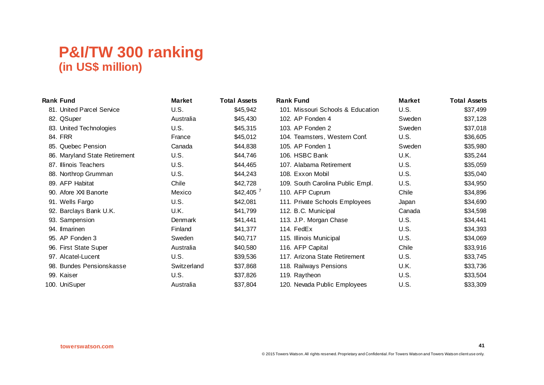| <b>Rank Fund</b>              | <b>Market</b> | <b>Total Assets</b> | <b>Rank Fund</b>                  | <b>Market</b> | <b>Total Assets</b> |
|-------------------------------|---------------|---------------------|-----------------------------------|---------------|---------------------|
| 81. United Parcel Service     | U.S.          | \$45,942            | 101. Missouri Schools & Education | U.S.          | \$37,499            |
| 82. QSuper                    | Australia     | \$45,430            | 102. AP Fonden 4                  | Sweden        | \$37,128            |
| 83. United Technologies       | U.S.          | \$45,315            | 103. AP Fonden 2                  | Sweden        | \$37,018            |
| 84. FRR                       | France        | \$45,012            | 104. Teamsters, Western Conf.     | U.S.          | \$36,605            |
| 85. Quebec Pension            | Canada        | \$44,838            | 105. AP Fonden 1                  | Sweden        | \$35,980            |
| 86. Maryland State Retirement | U.S.          | \$44,746            | 106. HSBC Bank                    | U.K.          | \$35,244            |
| 87. Illinois Teachers         | U.S.          | \$44,465            | 107. Alabama Retirement           | U.S.          | \$35,059            |
| 88. Northrop Grumman          | U.S.          | \$44,243            | 108. Exxon Mobil                  | U.S.          | \$35,040            |
| 89. AFP Habitat               | Chile         | \$42,728            | 109. South Carolina Public Empl.  | U.S.          | \$34,950            |
| 90. Afore XXI Banorte         | Mexico        | $$42,405$ $^7$      | 110. AFP Cuprum                   | Chile         | \$34,896            |
| 91. Wells Fargo               | U.S.          | \$42,081            | 111. Private Schools Employees    | Japan         | \$34,690            |
| 92. Barclays Bank U.K.        | U.K.          | \$41,799            | 112. B.C. Municipal               | Canada        | \$34,598            |
| 93. Sampension                | Denmark       | \$41,441            | 113. J.P. Morgan Chase            | U.S.          | \$34,441            |
| 94. Ilmarinen                 | Finland       | \$41,377            | 114. FedEx                        | U.S.          | \$34,393            |
| 95. AP Fonden 3               | Sweden        | \$40,717            | 115. Illinois Municipal           | U.S.          | \$34,069            |
| 96. First State Super         | Australia     | \$40,580            | 116. AFP Capital                  | Chile         | \$33,916            |
| 97. Alcatel-Lucent            | U.S.          | \$39,536            | 117. Arizona State Retirement     | U.S.          | \$33,745            |
| 98. Bundes Pensionskasse      | Switzerland   | \$37,868            | 118. Railways Pensions            | U.K.          | \$33,736            |
| 99. Kaiser                    | U.S.          | \$37,826            | 119. Raytheon                     | U.S.          | \$33,504            |
| 100. UniSuper                 | Australia     | \$37,804            | 120. Nevada Public Employees      | U.S.          | \$33,309            |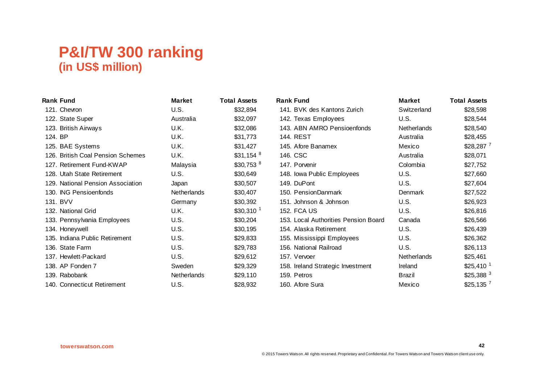| <b>Rank Fund</b>                  | <b>Market</b> | <b>Total Assets</b>    | <b>Rank Fund</b>                     | <b>Market</b>      | <b>Total Assets</b> |
|-----------------------------------|---------------|------------------------|--------------------------------------|--------------------|---------------------|
| 121. Chevron                      | U.S.          | \$32,894               | 141. BVK des Kantons Zurich          | Switzerland        | \$28,598            |
| 122. State Super                  | Australia     | \$32,097               | 142. Texas Employees                 | <b>U.S.</b>        | \$28,544            |
| 123. British Airways              | U.K.          | \$32,086               | 143. ABN AMRO Pensioenfonds          | <b>Netherlands</b> | \$28,540            |
| 124. BP                           | U.K.          | \$31,773               | 144. REST                            | Australia          | \$28,455            |
| 125. BAE Systems                  | U.K.          | \$31,427               | 145. Afore Banamex                   | Mexico             | $$28,287$ $^7$      |
| 126. British Coal Pension Schemes | U.K.          | $$31,154$ <sup>8</sup> | 146. CSC                             | Australia          | \$28,071            |
| 127. Retirement Fund-KWAP         | Malaysia      | $$30,753$ <sup>8</sup> | 147. Porvenir                        | Colombia           | \$27,752            |
| 128. Utah State Retirement        | U.S.          | \$30,649               | 148. Iowa Public Employees           | U.S.               | \$27,660            |
| 129. National Pension Association | Japan         | \$30,507               | 149. DuPont                          | <b>U.S.</b>        | \$27,604            |
| 130. ING Pensioenfonds            | Netherlands   | \$30,407               | 150. PensionDanmark                  | Denmark            | \$27,522            |
| 131. BVV                          | Germany       | \$30,392               | 151. Johnson & Johnson               | U.S.               | \$26,923            |
| 132. National Grid                | U.K.          | $$30,310^{-1}$         | <b>152. FCA US</b>                   | U.S.               | \$26,816            |
| 133. Pennsylvania Employees       | U.S.          | \$30,204               | 153. Local Authorities Pension Board | Canada             | \$26,566            |
| 134. Honeywell                    | U.S.          | \$30,195               | 154. Alaska Retirement               | U.S.               | \$26,439            |
| 135. Indiana Public Retirement    | U.S.          | \$29,833               | 155. Mississippi Employees           | U.S.               | \$26,362            |
| 136. State Farm                   | U.S.          | \$29,783               | 156. National Railroad               | U.S.               | \$26,113            |
| 137. Hewlett-Packard              | U.S.          | \$29,612               | 157. Vervoer                         | Netherlands        | \$25,461            |
| 138. AP Fonden 7                  | Sweden        | \$29,329               | 158. Ireland Strategic Investment    | Ireland            | $$25,410^{-1}$      |
| 139. Rabobank                     | Netherlands   | \$29,110               | 159. Petros                          | Brazil             | \$25,388 $3$        |
| 140. Connecticut Retirement       | U.S.          | \$28,932               | 160. Afore Sura                      | Mexico             | \$25,135 $^7$       |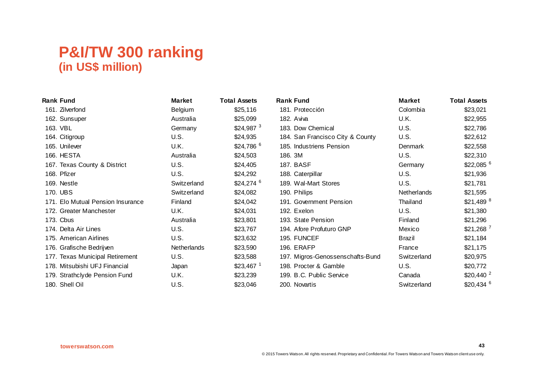| <b>Rank Fund</b>                  | <b>Market</b> | <b>Total Assets</b>    | <b>Rank Fund</b>                 | <b>Market</b>  | <b>Total Assets</b> |
|-----------------------------------|---------------|------------------------|----------------------------------|----------------|---------------------|
| 161. Zilverfond                   | Belgium       | \$25,116               | 181. Protección                  | Colombia       | \$23,021            |
| 162. Sunsuper                     | Australia     | \$25,099               | 182. Aviva                       | U.K.           | \$22,955            |
| 163. VBL                          | Germany       | \$24,987 $3$           | 183. Dow Chemical                | <b>U.S.</b>    | \$22,786            |
| 164. Citigroup                    | U.S.          | \$24,935               | 184. San Francisco City & County | U.S.           | \$22,612            |
| 165. Unilever                     | U.K.          | \$24,786 $^6$          | 185. Industriens Pension         | <b>Denmark</b> | \$22,558            |
| 166. HESTA                        | Australia     | \$24,503               | 186. 3M                          | U.S.           | \$22,310            |
| 167. Texas County & District      | U.S.          | \$24,405               | <b>187. BASF</b>                 | Germany        | \$22,085 $^6$       |
| 168. Pfizer                       | U.S.          | \$24,292               | 188. Caterpillar                 | U.S.           | \$21,936            |
| 169. Nestle                       | Switzerland   | $$24,274$ <sup>6</sup> | 189. Wal-Mart Stores             | U.S.           | \$21,781            |
| 170. UBS                          | Switzerland   | \$24,082               | 190. Philips                     | Netherlands    | \$21,595            |
| 171. Elo Mutual Pension Insurance | Finland       | \$24,042               | 191. Government Pension          | Thailand       | \$21,489 $8$        |
| 172. Greater Manchester           | U.K.          | \$24,031               | 192. Exelon                      | U.S.           | \$21,380            |
| 173. Cbus                         | Australia     | \$23,801               | 193. State Pension               | Finland        | \$21,296            |
| 174. Delta Air Lines              | U.S.          | \$23,767               | 194. Afore Profuturo GNP         | Mexico         | $$21,268$ $^7$      |
| 175. American Airlines            | U.S.          | \$23,632               | 195. FUNCEF                      | <b>Brazil</b>  | \$21,184            |
| 176. Grafische Bedrijven          | Netherlands   | \$23,590               | 196. ERAFP                       | France         | \$21,175            |
| 177. Texas Municipal Retirement   | U.S.          | \$23,588               | 197. Migros-Genossenschafts-Bund | Switzerland    | \$20,975            |
| 178. Mitsubishi UFJ Financial     | Japan         | $$23,467$ <sup>1</sup> | 198. Procter & Gamble            | U.S.           | \$20,772            |
| 179. Strathclyde Pension Fund     | U.K.          | \$23,239               | 199. B.C. Public Service         | Canada         | $$20,440$ $^2$      |
| 180. Shell Oil                    | U.S.          | \$23,046               | 200. Novartis                    | Switzerland    | \$20,434 $6$        |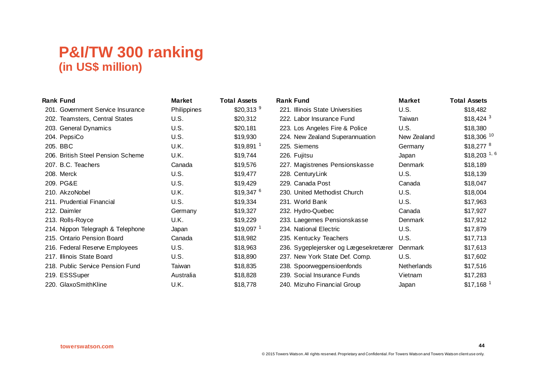| <b>Rank Fund</b>                  | <b>Market</b> | <b>Total Assets</b>    | <b>Rank Fund</b>                      | <b>Market</b> | <b>Total Assets</b>     |
|-----------------------------------|---------------|------------------------|---------------------------------------|---------------|-------------------------|
| 201. Government Service Insurance | Philippines   | \$20,313 $9$           | 221. Illinois State Universities      | U.S.          | \$18,482                |
| 202. Teamsters, Central States    | U.S.          | \$20,312               | 222. Labor Insurance Fund             | Taiwan        | $$18,424$ <sup>3</sup>  |
| 203. General Dynamics             | U.S.          | \$20,181               | 223. Los Angeles Fire & Police        | <b>U.S.</b>   | \$18,380                |
| 204. PepsiCo                      | U.S.          | \$19,930               | 224. New Zealand Superannuation       | New Zealand   | $$18,306$ <sup>10</sup> |
| 205. BBC                          | U.K.          | $$19,891$ <sup>1</sup> | 225. Siemens                          | Germany       | $$18,277$ <sup>8</sup>  |
| 206. British Steel Pension Scheme | U.K.          | \$19,744               | 226. Fujitsu                          | Japan         | \$18,203 $1,6$          |
| 207. B.C. Teachers                | Canada        | \$19,576               | 227. Magistrenes Pensionskasse        | Denmark       | \$18,189                |
| 208. Merck                        | U.S.          | \$19,477               | 228. Century Link                     | U.S.          | \$18,139                |
| 209. PG&E                         | U.S.          | \$19,429               | 229. Canada Post                      | Canada        | \$18,047                |
| 210. AkzoNobel                    | U.K.          | $$19,347$ <sup>6</sup> | 230. United Methodist Church          | <b>U.S.</b>   | \$18,004                |
| 211. Prudential Financial         | U.S.          | \$19,334               | 231. World Bank                       | U.S.          | \$17,963                |
| 212. Daimler                      | Germany       | \$19,327               | 232. Hydro-Quebec                     | Canada        | \$17,927                |
| 213. Rolls-Royce                  | U.K.          | \$19,229               | 233. Laegernes Pensionskasse          | Denmark       | \$17,912                |
| 214. Nippon Telegraph & Telephone | Japan         | $$19,097$ <sup>1</sup> | 234. National Electric                | <b>U.S.</b>   | \$17,879                |
| 215. Ontario Pension Board        | Canada        | \$18,982               | 235. Kentucky Teachers                | U.S.          | \$17,713                |
| 216. Federal Reserve Employees    | U.S.          | \$18,963               | 236. Sygeplejersker og Lægesekretærer | Denmark       | \$17,613                |
| 217. Illinois State Board         | U.S.          | \$18,890               | 237. New York State Def. Comp.        | U.S.          | \$17,602                |
| 218. Public Service Pension Fund  | Taiwan        | \$18,835               | 238. Spoorwegpensioenfonds            | Netherlands   | \$17,516                |
| 219. ESSSuper                     | Australia     | \$18,828               | 239. Social Insurance Funds           | Vietnam       | \$17,283                |
| 220. GlaxoSmithKline              | U.K.          | \$18,778               | 240. Mizuho Financial Group           | Japan         | $$17,168$ <sup>1</sup>  |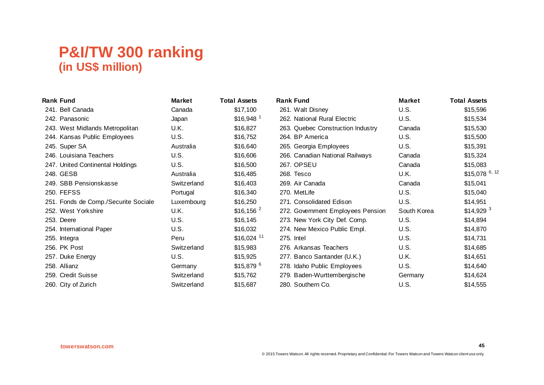| <b>Rank Fund</b>                     | <b>Market</b> | <b>Total Assets</b>     | <b>Rank Fund</b>                  | <b>Market</b> | <b>Total Assets</b>    |
|--------------------------------------|---------------|-------------------------|-----------------------------------|---------------|------------------------|
| 241. Bell Canada                     | Canada        | \$17,100                | 261. Walt Disney                  | <b>U.S.</b>   | \$15,596               |
| 242. Panasonic                       | Japan         | $$16,948$ <sup>1</sup>  | 262. National Rural Electric      | <b>U.S.</b>   | \$15,534               |
| 243. West Midlands Metropolitan      | U.K.          | \$16,827                | 263. Quebec Construction Industry | Canada        | \$15,530               |
| 244. Kansas Public Employees         | U.S.          | \$16,752                | 264. BP America                   | <b>U.S.</b>   | \$15,500               |
| 245. Super SA                        | Australia     | \$16,640                | 265. Georgia Employees            | <b>U.S.</b>   | \$15,391               |
| 246. Louisiana Teachers              | U.S.          | \$16,606                | 266. Canadian National Railways   | Canada        | \$15,324               |
| 247. United Continental Holdings     | U.S.          | \$16,500                | 267. OPSEU                        | Canada        | \$15,083               |
| 248. GESB                            | Australia     | \$16,485                | 268. Tesco                        | U.K.          | \$15,078 $6, 12$       |
| 249. SBB Pensionskasse               | Switzerland   | \$16,403                | 269. Air Canada                   | Canada        | \$15,041               |
| 250. FEFSS                           | Portugal      | \$16,340                | 270. MetLife                      | U.S.          | \$15,040               |
| 251. Fonds de Comp./Securite Sociale | Luxembourg    | \$16,250                | 271. Consolidated Edison          | U.S.          | \$14,951               |
| 252. West Yorkshire                  | U.K.          | $$16, 156$ $^2$         | 272. Government Employees Pension | South Korea   | $$14,929$ <sup>3</sup> |
| 253. Deere                           | U.S.          | \$16, 145               | 273. New York City Def. Comp.     | U.S.          | \$14,894               |
| 254. International Paper             | U.S.          | \$16,032                | 274. New Mexico Public Empl.      | U.S.          | \$14,870               |
| 255. Integra                         | Peru          | $$16,024$ <sup>11</sup> | 275. Intel                        | U.S.          | \$14,731               |
| 256. PK Post                         | Switzerland   | \$15,983                | 276. Arkansas Teachers            | U.S.          | \$14,685               |
| 257. Duke Energy                     | U.S.          | \$15,925                | 277. Banco Santander (U.K.)       | U.K.          | \$14,651               |
| 258. Allianz                         | Germany       | $$15,879$ <sup>6</sup>  | 278. Idaho Public Employees       | U.S.          | \$14,640               |
| 259. Credit Suisse                   | Switzerland   | \$15,762                | 279. Baden-Wurttembergische       | Germany       | \$14,624               |
| 260. City of Zurich                  | Switzerland   | \$15,687                | 280. Southern Co.                 | U.S.          | \$14,555               |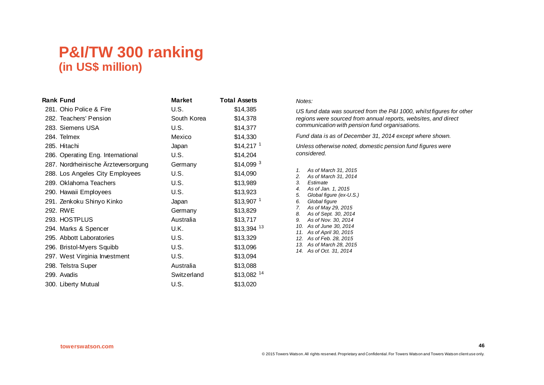| <b>Rank Fund</b>                    | <b>Market</b> | <b>Total Assets</b>     |
|-------------------------------------|---------------|-------------------------|
| 281. Ohio Police & Fire             | U.S.          | \$14,385                |
| 282. Teachers' Pension              | South Korea   | \$14,378                |
| 283. Siemens USA                    | U.S.          | \$14,377                |
| 284. Telmex                         | Mexico        | \$14,330                |
| 285. Hitachi                        | Japan         | $$14,217$ <sup>1</sup>  |
| 286. Operating Eng. International   | U.S.          | \$14,204                |
| 287. Nordrheinische Ärzteversorgung | Germany       | $$14,099$ <sup>3</sup>  |
| 288. Los Angeles City Employees     | U.S.          | \$14,090                |
| 289. Oklahoma Teachers              | U.S.          | \$13,989                |
| 290. Hawaii Employees               | U.S.          | \$13,923                |
| 291. Zenkoku Shinyo Kinko           | Japan         | $$13,907$ <sup>1</sup>  |
| 292. RWE                            | Germany       | \$13,829                |
| 293. HOSTPLUS                       | Australia     | \$13,717                |
| 294. Marks & Spencer                | U.K.          | \$13,394 13             |
| 295. Abbott Laboratories            | U.S.          | \$13,329                |
| 296. Bristol-Myers Squibb           | U.S.          | \$13,096                |
| 297. West Virginia Investment       | U.S.          | \$13,094                |
| 298. Telstra Super                  | Australia     | \$13,088                |
| 299. Avadis                         | Switzerland   | $$13,082$ <sup>14</sup> |
| 300. Liberty Mutual                 | U.S.          | \$13,020                |

#### *Notes:*

*US fund data was sourced from the P&I 1000, whilst figures for other regions were sourced from annual reports, websites, and direct communication with pension fund organisations.* 

*Fund data is as of December 31, 2014 except where shown.*

*Unless otherwise noted, domestic pension fund figures were considered.*

*1. As of March 31, 2015 2. As of March 31, 2014 3. Estimate 4. As of Jan. 1, 2015 5. Global figure (ex-U.S.) 6. Global figure 7. As of May 29, 2015 8. As of Sept. 30, 2014 9. As of Nov. 30, 2014 10. As of June 30, 2014 11. As of April 30, 2015 12. As of Feb. 28, 2015 13. As of March 28, 2015 14. As of Oct. 31, 2014*